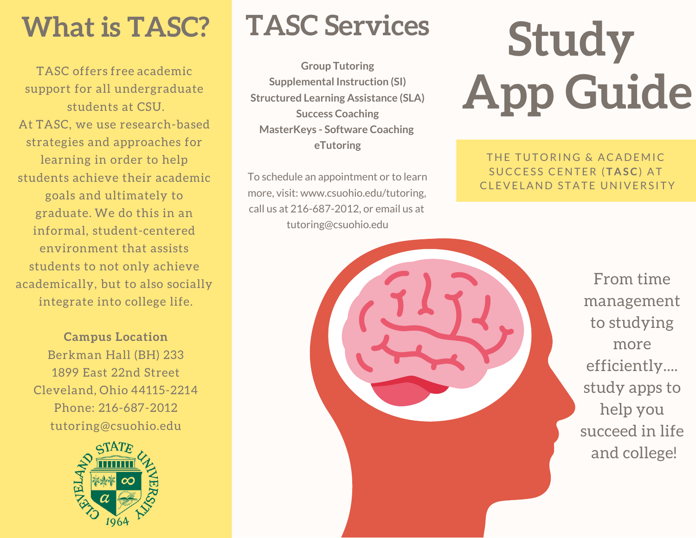# **What is TASC?**

TASC offers free academic support for all undergraduate students at CSU. At TASC, we use research-based strategies and approaches for learning in order to help students achieve their academic goals and ultimately to graduate. We do this in an informal, student-centered environment that assists students to not only achieve academically, but to also socially integrate into college life.

**Campus Location** Berkman Hall (BH) 233 1899 East 22nd Street Cleveland, Ohio 44115-2214 Phone: 216-687-2012 tutoring@csuohio.edu



# **TASC Services**

**Group Tutoring Supplemental Instruction (SI) Structured Learning Assistance (SLA) Success Coaching MasterKeys - Software Coaching eTutoring**

To schedule an appointment or to learn more, visit: www.csuohio.edu/tutoring, call us at 216-687-2012, or email us at tutoring@csuohio.edu

# **Study App Guide**

THE TUTORING & ACADEMIC SUCCESS CENTER (TASC) AT CLEVELAND STATE UNIVERSITY



From time management to studying more efficiently.... study apps to help you succeed in life and college!